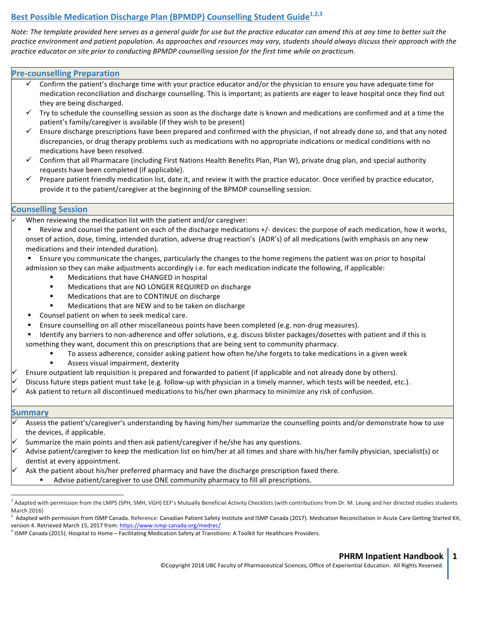# **Best Possible Medication Discharge Plan (BPMDP) Counselling Student Guide**<sup>1,2,3</sup>

Note: The template provided here serves as a general quide for use but the practice educator can amend this at any time to better suit the practice environment and patient population. As approaches and resources may vary, students should always discuss their approach with the practice educator on site prior to conducting BPMDP counselling session for the first time while on practicum.

# **Pre-counselling Preparation**

- Confirm the patient's discharge time with your practice educator and/or the physician to ensure you have adequate time for medication reconciliation and discharge counselling. This is important; as patients are eager to leave hospital once they find out they are being discharged.
- Try to schedule the counselling session as soon as the discharge date is known and medications are confirmed and at a time the patient's family/caregiver is available (if they wish to be present)
- Ensure discharge prescriptions have been prepared and confirmed with the physician, if not already done so, and that any noted discrepancies, or drug therapy problems such as medications with no appropriate indications or medical conditions with no medications have been resolved.
- $\checkmark$  Confirm that all Pharmacare (including First Nations Health Benefits Plan, Plan W), private drug plan, and special authority requests have been completed (if applicable).
- Prepare patient friendly medication list, date it, and review it with the practice educator. Once verified by practice educator, provide it to the patient/caregiver at the beginning of the BPMDP counselling session.

# **Counselling Session**

- When reviewing the medication list with the patient and/or caregiver:
	- Review and counsel the patient on each of the discharge medications  $+/-$  devices: the purpose of each medication, how it works, onset of action, dose, timing, intended duration, adverse drug reaction's (ADR's) of all medications (with emphasis on any new medications and their intended duration).
	- Ensure you communicate the changes, particularly the changes to the home regimens the patient was on prior to hospital
	- admission so they can make adjustments accordingly i.e. for each medication indicate the following, if applicable:
		- Medications that have CHANGED in hospital
		- Medications that are NO LONGER REQUIRED on discharge
		- Medications that are to CONTINUE on discharge
		- Medications that are NEW and to be taken on discharge
	- Counsel patient on when to seek medical care.
	- Ensure counselling on all other miscellaneous points have been completed (e.g. non-drug measures).
	- Identify any barriers to non-adherence and offer solutions, e.g. discuss blister packages/dosettes with patient and if this is something they want, document this on prescriptions that are being sent to community pharmacy.
		- To assess adherence, consider asking patient how often he/she forgets to take medications in a given week
		- Assess visual impairment, dexterity
- Ensure outpatient lab requisition is prepared and forwarded to patient (if applicable and not already done by others).
- Discuss future steps patient must take (e.g. follow-up with physician in a timely manner, which tests will be needed, etc.).
- Ask patient to return all discontinued medications to his/her own pharmacy to minimize any risk of confusion.

### **Summary**

- Assess the patient's/caregiver's understanding by having him/her summarize the counselling points and/or demonstrate how to use the devices, if applicable.
- Summarize the main points and then ask patient/caregiver if he/she has any questions.
- Advise patient/caregiver to keep the medication list on him/her at all times and share with his/her family physician, specialist(s) or dentist at every appointment.
- Ask the patient about his/her preferred pharmacy and have the discharge prescription faxed there.
	- Advise patient/caregiver to use ONE community pharmacy to fill all prescriptions.

#### **PHRM Inpatient Handbook 1**

©Copyright 2018 UBC Faculty of Pharmaceutical Sciences, Office of Experiential Education. All Rights Reserved.

Adapted with permission from the LMPS (SPH, SMH, VGH) EEF's Mutually Beneficial Activity Checklists (with contributions from Dr. M. Leung and her directed studies students March 2016) 

<sup>2</sup> Adapted with permission from ISMP Canada. Reference: Canadian Patient Safety Institute and ISMP Canada (2017). Medication Reconciliation in Acute Care Getting Started Kit, version 4. Retrieved March 15, 2017 from: https://www.ismp-canada.org/medrec/

ISMP Canada (2015). Hospital to Home - Facilitating Medication Safety at Transitions: A Toolkit for Healthcare Providers.